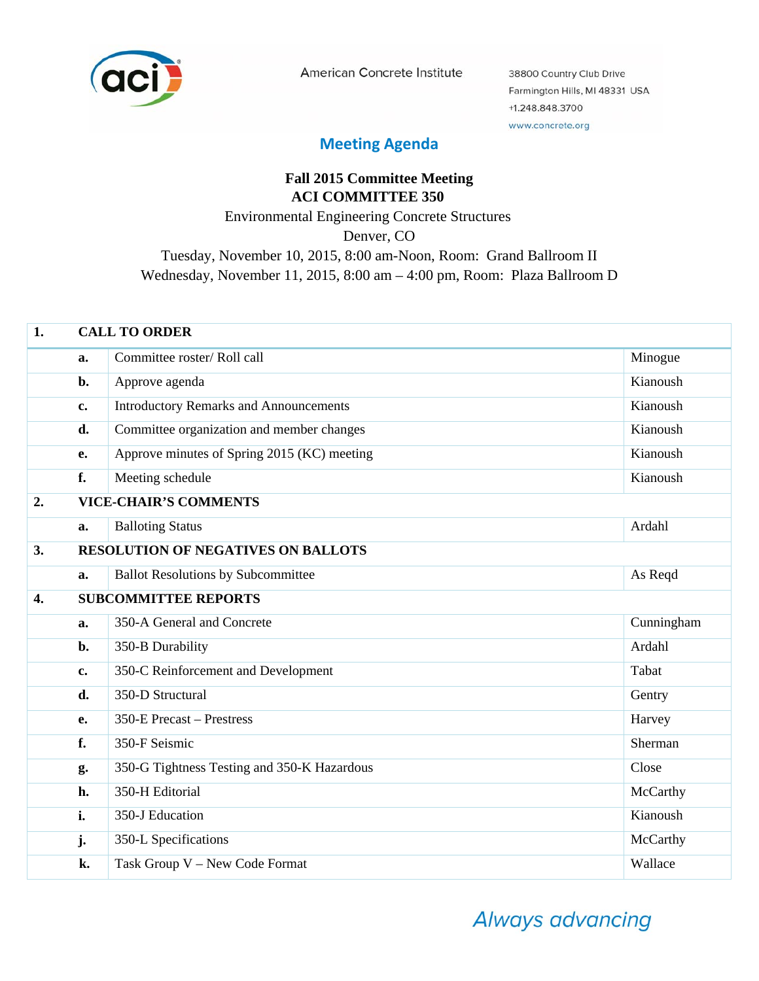

American Concrete Institute

38800 Country Club Drive Farmington Hills, MI 48331 USA +1.248.848.3700 www.concrete.org

## **Meeting Agenda**

## **Fall 2015 Committee Meeting ACI COMMITTEE 350** Environmental Engineering Concrete Structures Denver, CO Tuesday, November 10, 2015, 8:00 am-Noon, Room: Grand Ballroom II Wednesday, November 11, 2015, 8:00 am – 4:00 pm, Room: Plaza Ballroom D

| 1. | <b>CALL TO ORDER</b> |                                               |            |  |
|----|----------------------|-----------------------------------------------|------------|--|
|    | a.                   | Committee roster/Roll call                    | Minogue    |  |
|    | b.                   | Approve agenda                                | Kianoush   |  |
|    | c.                   | <b>Introductory Remarks and Announcements</b> | Kianoush   |  |
|    | d.                   | Committee organization and member changes     | Kianoush   |  |
|    | e.                   | Approve minutes of Spring 2015 (KC) meeting   | Kianoush   |  |
|    | f.                   | Meeting schedule                              | Kianoush   |  |
| 2. |                      | <b>VICE-CHAIR'S COMMENTS</b>                  |            |  |
|    | a.                   | <b>Balloting Status</b>                       | Ardahl     |  |
| 3. |                      | <b>RESOLUTION OF NEGATIVES ON BALLOTS</b>     |            |  |
|    | a.                   | <b>Ballot Resolutions by Subcommittee</b>     | As Reqd    |  |
| 4. |                      | <b>SUBCOMMITTEE REPORTS</b>                   |            |  |
|    | a.                   | 350-A General and Concrete                    | Cunningham |  |
|    | b.                   | 350-B Durability                              | Ardahl     |  |
|    | c.                   | 350-C Reinforcement and Development           | Tabat      |  |
|    | d.                   | 350-D Structural                              | Gentry     |  |
|    | <b>e.</b>            | 350-E Precast – Prestress                     | Harvey     |  |
|    | f.                   | 350-F Seismic                                 | Sherman    |  |
|    | g.                   | 350-G Tightness Testing and 350-K Hazardous   | Close      |  |
|    | h.                   | 350-H Editorial                               | McCarthy   |  |
|    | i.                   | 350-J Education                               | Kianoush   |  |
|    | j.                   | 350-L Specifications                          | McCarthy   |  |
|    | k.                   | Task Group V - New Code Format                | Wallace    |  |

Always advancing